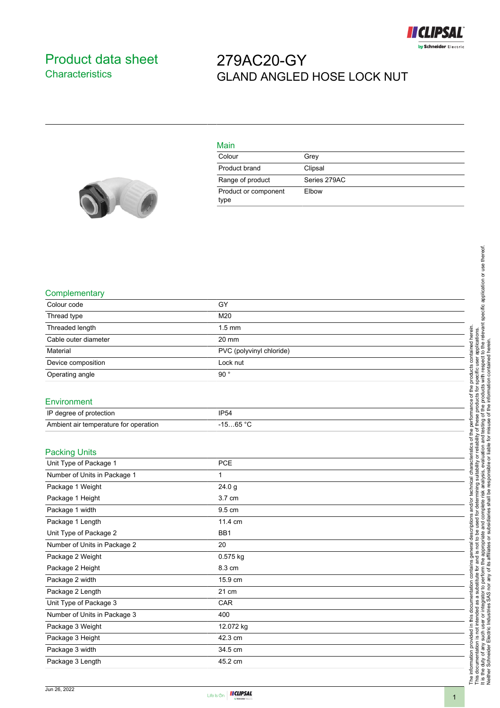

## <span id="page-0-0"></span>Product data sheet **Characteristics**

## 279AC20-GY GLAND ANGLED HOSE LOCK NUT



| Main                         |              |
|------------------------------|--------------|
| Colour                       | Grey         |
| Product brand                | Clipsal      |
| Range of product             | Series 279AC |
| Product or component<br>type | Elbow        |

## **Complementary**

| oompigmoniai y                        |                          |  |
|---------------------------------------|--------------------------|--|
| Colour code                           | GY                       |  |
| Thread type                           | M20                      |  |
| Threaded length                       | $1.5$ mm                 |  |
| Cable outer diameter                  | 20 mm                    |  |
| Material                              | PVC (polyvinyl chloride) |  |
| Device composition                    | Lock nut                 |  |
| Operating angle                       | 90°                      |  |
| Environment                           |                          |  |
| IP degree of protection               | <b>IP54</b>              |  |
| Ambient air temperature for operation | $-1565 °C$               |  |
|                                       |                          |  |
| <b>Packing Units</b>                  |                          |  |
| Unit Type of Package 1                | PCE                      |  |
| Number of Units in Package 1          | $\mathbf{1}$             |  |
| Package 1 Weight                      | 24.0 <sub>g</sub>        |  |
| Package 1 Height                      | 3.7 cm                   |  |
| Package 1 width                       | 9.5 cm                   |  |
| Package 1 Length                      | 11.4 cm                  |  |
| Unit Type of Package 2                | BB1                      |  |
| Number of Units in Package 2          | 20                       |  |
| Package 2 Weight                      | 0.575 kg                 |  |
| Package 2 Height                      | 8.3 cm                   |  |
| Package 2 width                       | 15.9 cm                  |  |
| Package 2 Length                      | 21 cm                    |  |
| Unit Type of Package 3                | CAR                      |  |
| Number of Units in Package 3          | 400                      |  |
| Package 3 Weight                      | 12.072 kg                |  |
| Package 3 Height                      | 42.3 cm                  |  |
| Package 3 width                       | 34.5 cm                  |  |
| Package 3 Length                      | 45.2 cm                  |  |